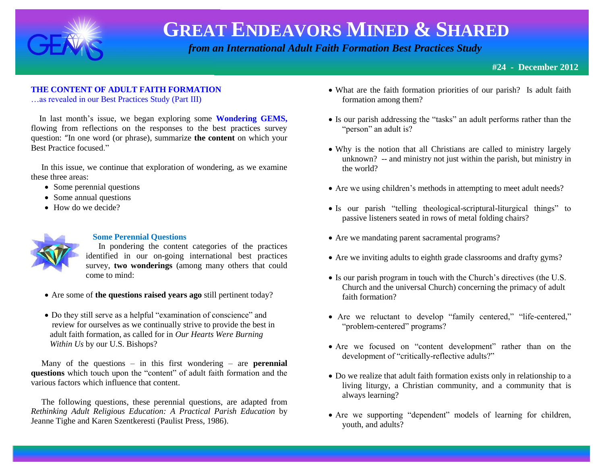

 *from an International Adult Faith Formation Best Practices Study*

### **THE CONTENT OF ADULT FAITH FORMATION**

…as revealed in our Best Practices Study (Part III)

 In last month's issue, we began exploring some **Wondering GEMS,**  flowing from reflections on the responses to the best practices survey question: "In one word (or phrase), summarize **the content** on which your Best Practice focused."

 In this issue, we continue that exploration of wondering, as we examine these three areas:

- Some perennial questions
- Some annual questions
- How do we decide?



#### **Some Perennial Questions**

 In pondering the content categories of the practices identified in our on-going international best practices survey, **two wonderings** (among many others that could come to mind:

- Are some of **the questions raised years ago** still pertinent today?
- Do they still serve as a helpful "examination of conscience" and review for ourselves as we continually strive to provide the best in adult faith formation, as called for in *Our Hearts Were Burning Within Us* by our U.S. Bishops?

 Many of the questions – in this first wondering – are **perennial questions** which touch upon the "content" of adult faith formation and the various factors which influence that content.

 The following questions, these perennial questions, are adapted from *Rethinking Adult Religious Education: A Practical Parish Education* by Jeanne Tighe and Karen Szentkeresti (Paulist Press, 1986).

- What are the faith formation priorities of our parish? Is adult faith formation among them?
- Is our parish addressing the "tasks" an adult performs rather than the "person" an adult is?
- Why is the notion that all Christians are called to ministry largely unknown? -- and ministry not just within the parish, but ministry in the world?
- Are we using children's methods in attempting to meet adult needs?
- Is our parish "telling theological-scriptural-liturgical things" to passive listeners seated in rows of metal folding chairs?
- Are we mandating parent sacramental programs?
- Are we inviting adults to eighth grade classrooms and drafty gyms?
- Is our parish program in touch with the Church's directives (the U.S. Church and the universal Church) concerning the primacy of adult faith formation?
- Are we reluctant to develop "family centered," "life-centered," "problem-centered" programs?
- Are we focused on "content development" rather than on the development of "critically-reflective adults?"
- Do we realize that adult faith formation exists only in relationship to a living liturgy, a Christian community, and a community that is always learning?
- Are we supporting "dependent" models of learning for children, youth, and adults?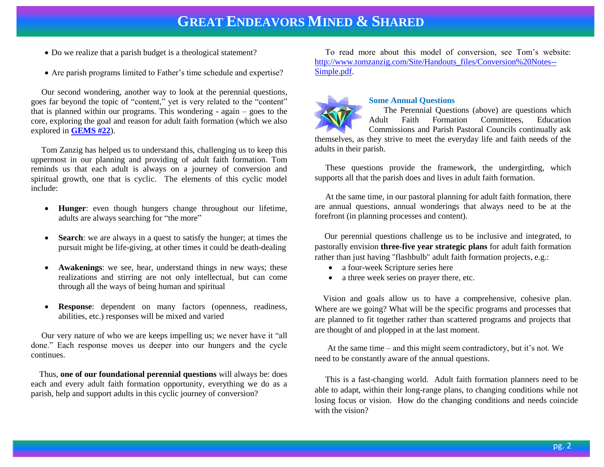- Do we realize that a parish budget is a theological statement?
- Are parish programs limited to Father's time schedule and expertise?

 Our second wondering, another way to look at the perennial questions, goes far beyond the topic of "content," yet is very related to the "content" that is planned within our programs. This wondering - again – goes to the core, exploring the goal and reason for adult faith formation (which we also explored in **[GEMS #22](http://www.janetschaeffler.com/Best-Practices.html)**).

 Tom Zanzig has helped us to understand this, challenging us to keep this uppermost in our planning and providing of adult faith formation. Tom reminds us that each adult is always on a journey of conversion and spiritual growth, one that is cyclic. The elements of this cyclic model include:

- **Hunger**: even though hungers change throughout our lifetime, adults are always searching for "the more"
- **Search**: we are always in a quest to satisfy the hunger; at times the pursuit might be life-giving, at other times it could be death-dealing
- **Awakenings**: we see, hear, understand things in new ways; these realizations and stirring are not only intellectual, but can come through all the ways of being human and spiritual
- **Response**: dependent on many factors (openness, readiness, abilities, etc.) responses will be mixed and varied

 Our very nature of who we are keeps impelling us; we never have it "all done." Each response moves us deeper into our hungers and the cycle continues.

 Thus, **one of our foundational perennial questions** will always be: does each and every adult faith formation opportunity, everything we do as a parish, help and support adults in this cyclic journey of conversion?

 To read more about this model of conversion, see Tom's website: [http://www.tomzanzig.com/Site/Handouts\\_files/Conversion%20Notes--](http://www.tomzanzig.com/Site/Handouts_files/Conversion%20Notes--Simple.pdf) [Simple.pdf.](http://www.tomzanzig.com/Site/Handouts_files/Conversion%20Notes--Simple.pdf)



#### **Some Annual Questions**

 The Perennial Questions (above) are questions which Adult Faith Formation Committees, Education Commissions and Parish Pastoral Councils continually ask

themselves, as they strive to meet the everyday life and faith needs of the adults in their parish.

 These questions provide the framework, the undergirding, which supports all that the parish does and lives in adult faith formation.

At the same time, in our pastoral planning for adult faith formation, there are annual questions, annual wonderings that always need to be at the forefront (in planning processes and content).

 Our perennial questions challenge us to be inclusive and integrated, to pastorally envision **three-five year strategic plans** for adult faith formation rather than just having "flashbulb" adult faith formation projects, e.g.:

- a four-week Scripture series here
- a three week series on prayer there, etc.

 Vision and goals allow us to have a comprehensive, cohesive plan. Where are we going? What will be the specific programs and processes that are planned to fit together rather than scattered programs and projects that are thought of and plopped in at the last moment.

 At the same time – and this might seem contradictory, but it's not. We need to be constantly aware of the annual questions.

 This is a fast-changing world. Adult faith formation planners need to be able to adapt, within their long-range plans, to changing conditions while not losing focus or vision. How do the changing conditions and needs coincide with the vision?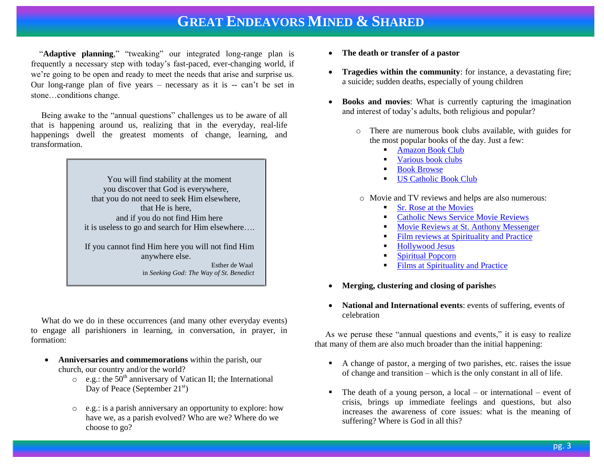"**Adaptive planning**," "tweaking" our integrated long-range plan is frequently a necessary step with today's fast-paced, ever-changing world, if we're going to be open and ready to meet the needs that arise and surprise us. Our long-range plan of five years – necessary as it is -- can't be set in stone…conditions change.

 Being awake to the "annual questions" challenges us to be aware of all that is happening around us, realizing that in the everyday, real-life happenings dwell the greatest moments of change, learning, and transformation.

> You will find stability at the moment you discover that God is everywhere, that you do not need to seek Him elsewhere, that He is here, and if you do not find Him here it is useless to go and search for Him elsewhere…. If you cannot find Him here you will not find Him anywhere else.

> > Esther de Waal in *Seeking God: The Way of St. Benedict*

 What do we do in these occurrences (and many other everyday events) to engage all parishioners in learning, in conversation, in prayer, in formation:

- **Anniversaries and commemorations** within the parish, our church, our country and/or the world?
	- $\circ$  e.g.: the 50<sup>th</sup> anniversary of Vatican II; the International Day of Peace (September  $21<sup>st</sup>$ )
	- o e.g.: is a parish anniversary an opportunity to explore: how have we, as a parish evolved? Who are we? Where do we choose to go?
- **The death or transfer of a pastor**
- **Tragedies within the community**: for instance, a devastating fire; a suicide; sudden deaths, especially of young children
- **Books and movies**: What is currently capturing the imagination and interest of today's adults, both religious and popular?
	- o There are numerous book clubs available, with guides for the most popular books of the day. Just a few:
		- [Amazon Book Club](http://www.amazon.com/Book-Clubs-Books/b?ie=UTF8&node=292203)
		- [Various book clubs](http://www.book-club-offers.com/)
		- [Book Browse](http://www.bookbrowse.com/reading_guides/)
		- **[US Catholic Book Club](http://www.uscatholic.org/bookclub)**

o Movie and TV reviews and helps are also numerous:

- [Sr. Rose at the Movies](http://www.patheos.com/blogs/sisterrosemovies/about/)
- [Catholic News Service Movie Reviews](http://www.catholicnews.com/movies.htm)
- **[Movie Reviews at St. Anthony Messenger](http://www.americancatholic.org/movies/default.aspx)**
- [Film reviews at Spirituality and Practice](http://www.spiritualityandpractice.com/films/)
- [Hollywood Jesus](http://hollywoodjesus.com/)
- [Spiritual Popcorn](http://spiritualpopcorn.blogspot.com/)
- **[Films at Spirituality and Practice](http://www.spiritualityandpractice.com/films/)**
- **Merging, clustering and closing of parishe**s
- **National and International events**: events of suffering, events of celebration

As we peruse these "annual questions and events," it is easy to realize that many of them are also much broader than the initial happening:

- A change of pastor, a merging of two parishes, etc. raises the issue of change and transition – which is the only constant in all of life.
- The death of a young person, a local or international event of crisis, brings up immediate feelings and questions, but also increases the awareness of core issues: what is the meaning of suffering? Where is God in all this?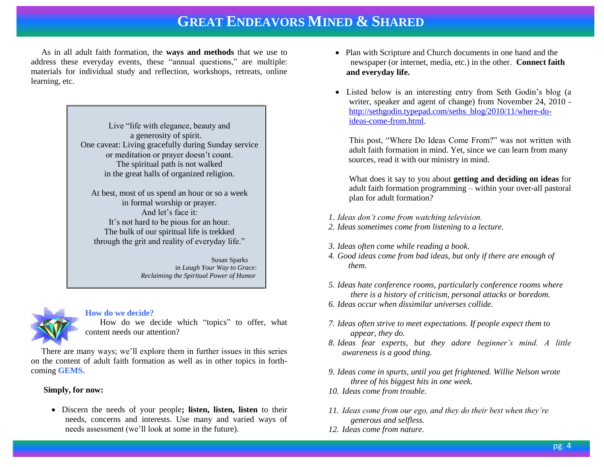As in all adult faith formation, the **ways and methods** that we use to address these everyday events, these "annual questions," are multiple: materials for individual study and reflection, workshops, retreats, online learning, etc.

> Live "life with elegance, beauty and a generosity of spirit. One caveat: Living gracefully during Sunday service or meditation or prayer doesn't count. The spiritual path is not walked in the great halls of organized religion.

At best, most of us spend an hour or so a week in formal worship or prayer. And let's face it: It's not hard to be pious for an hour. The bulk of our spiritual life is trekked through the grit and reality of everyday life."

> Susan Sparks in *Laugh Your Way to Grace: Reclaiming the Spiritual Power of Humor*

#### **How do we decide?**

 How do we decide which "topics" to offer, what content needs our attention?

 There are many ways; we'll explore them in further issues in this series on the content of adult faith formation as well as in other topics in forthcoming **GEMS.**

#### **Simply, for now:**

 Discern the needs of your people**; listen, listen, listen** to their needs, concerns and interests. Use many and varied ways of needs assessment (we'll look at some in the future).

- Plan with Scripture and Church documents in one hand and the newspaper (or internet, media, etc.) in the other. **Connect faith and everyday life.**
- Listed below is an interesting entry from Seth Godin's blog (a writer, speaker and agent of change) from November 24, 2010 [http://sethgodin.typepad.com/seths\\_blog/2010/11/where-do](http://sethgodin.typepad.com/seths_blog/2010/11/where-do-ideas-come-from.html)[ideas-come-from.html.](http://sethgodin.typepad.com/seths_blog/2010/11/where-do-ideas-come-from.html)

This post, "Where Do Ideas Come From?" was not written with adult faith formation in mind. Yet, since we can learn from many sources, read it with our ministry in mind.

What does it say to you about **getting and deciding on ideas** for adult faith formation programming – within your over-all pastoral plan for adult formation?

- *1. Ideas don't come from watching television.*
- *2. Ideas sometimes come from listening to a lecture.*
- *3. Ideas often come while reading a book.*
- *4. Good ideas come from bad ideas, but only if there are enough of them.*
- *5. Ideas hate conference rooms, particularly conference rooms where there is a history of criticism, personal attacks or boredom.*
- *6. Ideas occur when dissimilar universes collide.*
- *7. Ideas often strive to meet expectations. If people expect them to appear, they do.*
- *8. Ideas fear experts, but they adore beginner's mind. A little awareness is a good thing.*
- *9. Ideas come in spurts, until you get frightened. Willie Nelson wrote three of his biggest hits in one week.*
- *10. Ideas come from trouble.*
- *11. Ideas come from our ego, and they do their best when they're generous and selfless.*
- *12. Ideas come from nature.*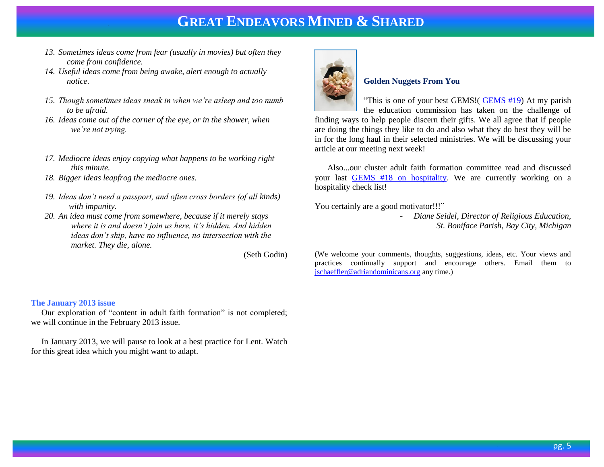- *13. Sometimes ideas come from fear (usually in movies) but often they come from confidence.*
- *14. Useful ideas come from being awake, alert enough to actually notice.*
- *15. Though sometimes ideas sneak in when we're asleep and too numb to be afraid.*
- *16. Ideas come out of the corner of the eye, or in the shower, when we're not trying.*
- *17. Mediocre ideas enjoy copying what happens to be working right this minute.*
- *18. Bigger ideas leapfrog the mediocre ones.*
- *19. Ideas don't need a passport, and often cross borders (of all kinds) with impunity.*
- *20. An idea must come from somewhere, because if it merely stays where it is and doesn't join us here, it's hidden. And hidden ideas don't ship, have no influence, no intersection with the market. They die, alone.*

(Seth Godin)

#### **The January 2013 issue**

 Our exploration of "content in adult faith formation" is not completed; we will continue in the February 2013 issue.

 In January 2013, we will pause to look at a best practice for Lent. Watch for this great idea which you might want to adapt.



#### **Golden Nuggets From You**

"This is one of your best GEMS!( [GEMS #19\)](http://www.janetschaeffler.com/Best-Practices.html) At my parish the education commission has taken on the challenge of

finding ways to help people discern their gifts. We all agree that if people are doing the things they like to do and also what they do best they will be in for the long haul in their selected ministries. We will be discussing your article at our meeting next week!

 Also...our cluster adult faith formation committee read and discussed your last [GEMS #18 on hospitality.](http://www.janetschaeffler.com/Best-Practices.html) We are currently working on a hospitality check list!

You certainly are a good motivator!!!"

- *Diane Seidel, Director of Religious Education, St. Boniface Parish, Bay City, Michigan*

(We welcome your comments, thoughts, suggestions, ideas, etc. Your views and practices continually support and encourage others. Email them to [jschaeffler@adriandominicans.org](mailto:jschaeffler@adriandominicans.org) any time.)